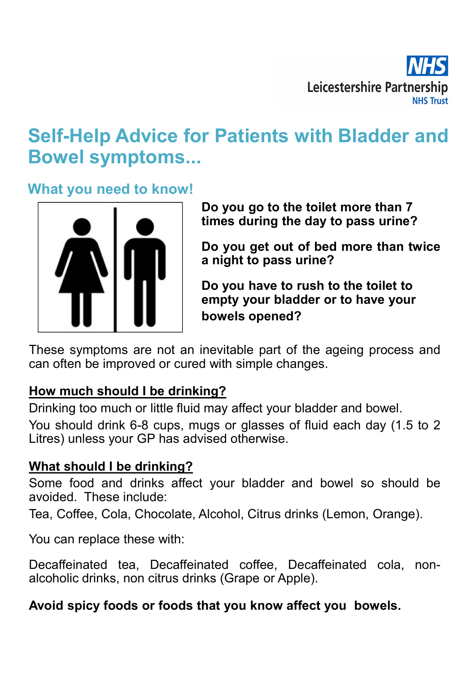

# Self-Help Advice for Patients with Bladder and Bowel symptoms... Leicestershire Partnership<br>
The Tradients with Bladder and<br>
Do you go to the toilet more than 7<br>
Do you go to the toilet more than 7<br>
Do you get out of bed more than twice<br>
a pight to pass uring? **MHS**<br>Leicestershire Partnership<br>The MHS Trust<br>The day to the toilet more than 7<br>times during the day to pass urine?<br>Do you get out of bed more than twice<br>a night to pass urine? Do you go to the toilet more than 7<br>Do you go to the toilet more than 7<br>Do you go to the toilet more than 7<br>Do you get out of bed more than twice<br>a night to pass urine?<br>Do you have to rush to the toilet to<br>empty your hiad Leicestershire Partnership<br> **Patients with Bladder and<br>
Do you go to the toilet more than 7<br>
times during the day to pass urine?<br>
Do you get out of bed more than twice<br>
a night to pass urine?<br>
Do you have to rush to the t** Leicestershire Partnership<br>
In Patients with Bladder and<br>
Do you go to the toilet more than 7<br>
times during the day to pass urine?<br>
Do you get out of bed more than twice<br>
a night to pass urine?<br>
Do you have to rush to the **Example 12 The Manuson Control Control Control Control Control Control Control Control Control Control Control Control Control Control Control Control Control Control Control Control Control Control Control Control Contro r Patients with Bladder and**<br>Do you go to the toilet more than 7<br>times during the day to pass urine?<br>Do you get out of bed more than twice<br>a night to pass urine?<br>Do you have to rush to the toilet to<br>empty your bladder or

What you need to know!



These symptoms are not an inevitable part of the ageing procan often be improved or cured with simple changes.<br>
How much should I be drinking?<br>
Drinking too much or little fluid may affect your bladder and boy<br>
You should

**Solution and Some food and drinks affect** your bladder or to have your<br>These symptoms are not an inevitable part of the ageing process and<br>can often be improved or curred with simple changes.<br>How much should 1 be drinking These symptoms are not an inevitable part of the ageing process and<br>can often be improved or cured with simple changes.<br> **How much should I be drinking?**<br>
Drinking too much or little fluid may affect your bladder and bowel

These symptoms are not an inevitable part of the ageing process can often be improved or cured with simple changes.<br> **How much should I be drinking?**<br>
Drinking too much or little fluid may affect your bladder and bowel.<br>
Y can often be improved or cured with simple changes.<br> **How much should I be drinking?**<br>
Drinking too much or little fluid may affect your bladder and bowel.<br>
You should drink 6-8 cups, mugs or glasses of fluid each day (1.5 **How much should I be drinking?**<br>Drinking too much or little fluid may affect your bladder and bowel.<br>You should drink 6-8 cups, mugs or glasses of fluid each day (1.5 to 2<br>Litres) unless your GP has advised otherwise.<br>Wha Drinking too much or little fluid may affect your bladder and bowel.<br>You should drink 6-8 cups, mugs or glasses of fluid each day (1.5 to 2<br>Litres) unless your GP has advised otherwise.<br>What should I be drinking?<br>Some food